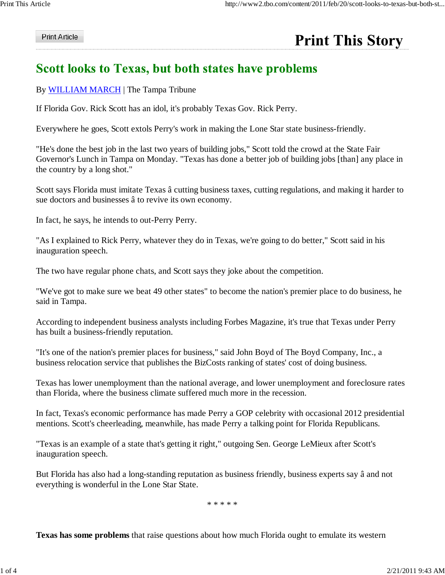## **Print Article**

## **Print This Story**

## Scott looks to Texas, but both states have problems

## By WILLIAM MARCH | The Tampa Tribune

If Florida Gov. Rick Scott has an idol, it's probably Texas Gov. Rick Perry.

Everywhere he goes, Scott extols Perry's work in making the Lone Star state business-friendly.

"He's done the best job in the last two years of building jobs," Scott told the crowd at the State Fair Governor's Lunch in Tampa on Monday. "Texas has done a better job of building jobs [than] any place in the country by a long shot."

Scott says Florida must imitate Texas â cutting business taxes, cutting regulations, and making it harder to sue doctors and businesses â to revive its own economy.

In fact, he says, he intends to out-Perry Perry.

"As I explained to Rick Perry, whatever they do in Texas, we're going to do better," Scott said in his inauguration speech.

The two have regular phone chats, and Scott says they joke about the competition.

"We've got to make sure we beat 49 other states" to become the nation's premier place to do business, he said in Tampa.

According to independent business analysts including Forbes Magazine, it's true that Texas under Perry has built a business-friendly reputation.

"It's one of the nation's premier places for business," said John Boyd of The Boyd Company, Inc., a business relocation service that publishes the BizCosts ranking of states' cost of doing business.

Texas has lower unemployment than the national average, and lower unemployment and foreclosure rates than Florida, where the business climate suffered much more in the recession.

In fact, Texas's economic performance has made Perry a GOP celebrity with occasional 2012 presidential mentions. Scott's cheerleading, meanwhile, has made Perry a talking point for Florida Republicans.

"Texas is an example of a state that's getting it right," outgoing Sen. George LeMieux after Scott's inauguration speech.

But Florida has also had a long-standing reputation as business friendly, business experts say â and not everything is wonderful in the Lone Star State.

\* \* \* \* \*

**Texas has some problems** that raise questions about how much Florida ought to emulate its western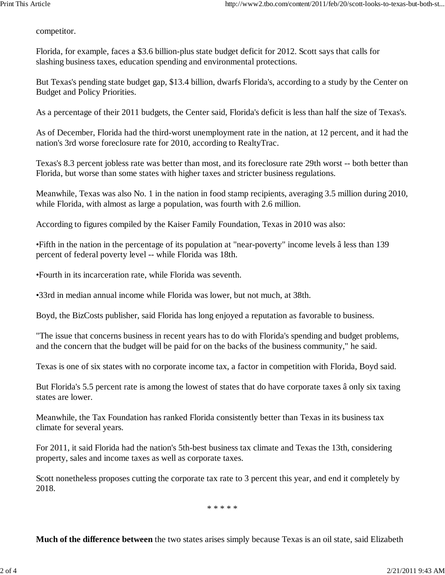competitor.

Florida, for example, faces a \$3.6 billion-plus state budget deficit for 2012. Scott says that calls for slashing business taxes, education spending and environmental protections.

But Texas's pending state budget gap, \$13.4 billion, dwarfs Florida's, according to a study by the Center on Budget and Policy Priorities.

As a percentage of their 2011 budgets, the Center said, Florida's deficit is less than half the size of Texas's.

As of December, Florida had the third-worst unemployment rate in the nation, at 12 percent, and it had the nation's 3rd worse foreclosure rate for 2010, according to RealtyTrac.

Texas's 8.3 percent jobless rate was better than most, and its foreclosure rate 29th worst -- both better than Florida, but worse than some states with higher taxes and stricter business regulations.

Meanwhile, Texas was also No. 1 in the nation in food stamp recipients, averaging 3.5 million during 2010, while Florida, with almost as large a population, was fourth with 2.6 million.

According to figures compiled by the Kaiser Family Foundation, Texas in 2010 was also:

•Fifth in the nation in the percentage of its population at "near-poverty" income levels â less than 139 percent of federal poverty level -- while Florida was 18th.

•Fourth in its incarceration rate, while Florida was seventh.

•33rd in median annual income while Florida was lower, but not much, at 38th.

Boyd, the BizCosts publisher, said Florida has long enjoyed a reputation as favorable to business.

"The issue that concerns business in recent years has to do with Florida's spending and budget problems, and the concern that the budget will be paid for on the backs of the business community," he said.

Texas is one of six states with no corporate income tax, a factor in competition with Florida, Boyd said.

But Florida's 5.5 percent rate is among the lowest of states that do have corporate taxes â only six taxing states are lower.

Meanwhile, the Tax Foundation has ranked Florida consistently better than Texas in its business tax climate for several years.

For 2011, it said Florida had the nation's 5th-best business tax climate and Texas the 13th, considering property, sales and income taxes as well as corporate taxes.

Scott nonetheless proposes cutting the corporate tax rate to 3 percent this year, and end it completely by 2018.

\* \* \* \* \*

**Much of the difference between** the two states arises simply because Texas is an oil state, said Elizabeth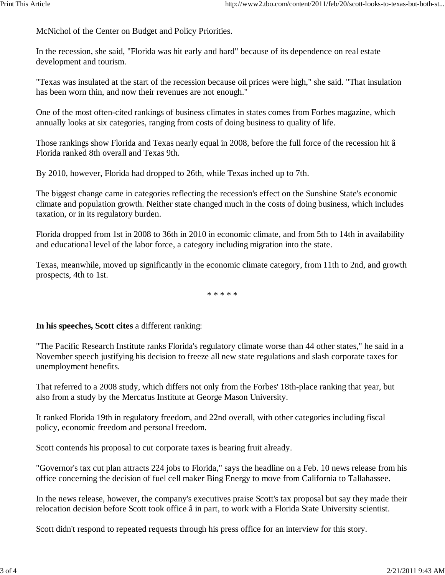McNichol of the Center on Budget and Policy Priorities.

In the recession, she said, "Florida was hit early and hard" because of its dependence on real estate development and tourism.

"Texas was insulated at the start of the recession because oil prices were high," she said. "That insulation has been worn thin, and now their revenues are not enough."

One of the most often-cited rankings of business climates in states comes from Forbes magazine, which annually looks at six categories, ranging from costs of doing business to quality of life.

Those rankings show Florida and Texas nearly equal in 2008, before the full force of the recession hit â Florida ranked 8th overall and Texas 9th.

By 2010, however, Florida had dropped to 26th, while Texas inched up to 7th.

The biggest change came in categories reflecting the recession's effect on the Sunshine State's economic climate and population growth. Neither state changed much in the costs of doing business, which includes taxation, or in its regulatory burden.

Florida dropped from 1st in 2008 to 36th in 2010 in economic climate, and from 5th to 14th in availability and educational level of the labor force, a category including migration into the state.

Texas, meanwhile, moved up significantly in the economic climate category, from 11th to 2nd, and growth prospects, 4th to 1st.

\* \* \* \* \*

**In his speeches, Scott cites** a different ranking:

"The Pacific Research Institute ranks Florida's regulatory climate worse than 44 other states," he said in a November speech justifying his decision to freeze all new state regulations and slash corporate taxes for unemployment benefits.

That referred to a 2008 study, which differs not only from the Forbes' 18th-place ranking that year, but also from a study by the Mercatus Institute at George Mason University.

It ranked Florida 19th in regulatory freedom, and 22nd overall, with other categories including fiscal policy, economic freedom and personal freedom.

Scott contends his proposal to cut corporate taxes is bearing fruit already.

"Governor's tax cut plan attracts 224 jobs to Florida," says the headline on a Feb. 10 news release from his office concerning the decision of fuel cell maker Bing Energy to move from California to Tallahassee.

In the news release, however, the company's executives praise Scott's tax proposal but say they made their relocation decision before Scott took office â in part, to work with a Florida State University scientist.

Scott didn't respond to repeated requests through his press office for an interview for this story.